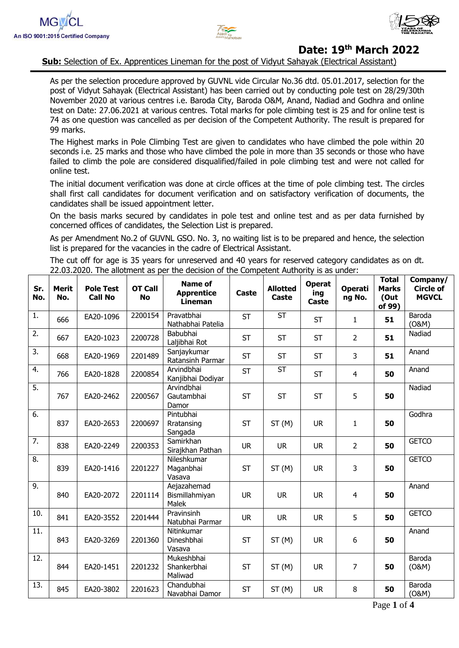



**Sub:** Selection of Ex. Apprentices Lineman for the post of Vidyut Sahayak (Electrical Assistant)

As per the selection procedure approved by GUVNL vide Circular No.36 dtd. 05.01.2017, selection for the post of Vidyut Sahayak (Electrical Assistant) has been carried out by conducting pole test on 28/29/30th November 2020 at various centres i.e. Baroda City, Baroda O&M, Anand, Nadiad and Godhra and online test on Date: 27.06.2021 at various centres. Total marks for pole climbing test is 25 and for online test is 74 as one question was cancelled as per decision of the Competent Authority. The result is prepared for 99 marks.

The Highest marks in Pole Climbing Test are given to candidates who have climbed the pole within 20 seconds i.e. 25 marks and those who have climbed the pole in more than 35 seconds or those who have failed to climb the pole are considered disqualified/failed in pole climbing test and were not called for online test.

The initial document verification was done at circle offices at the time of pole climbing test. The circles shall first call candidates for document verification and on satisfactory verification of documents, the candidates shall be issued appointment letter.

On the basis marks secured by candidates in pole test and online test and as per data furnished by concerned offices of candidates, the Selection List is prepared.

As per Amendment No.2 of GUVNL GSO. No. 3, no waiting list is to be prepared and hence, the selection list is prepared for the vacancies in the cadre of Electrical Assistant.

The cut off for age is 35 years for unreserved and 40 years for reserved category candidates as on dt. 22.03.2020. The allotment as per the decision of the Competent Authority is as under:

| Sr.<br>No. | <b>Merit</b><br>No. | <b>Pole Test</b><br><b>Call No</b> | <b>OT Call</b><br><b>No</b> | <b>Name of</b><br><b>Apprentice</b><br>Lineman | Caste     | <b>Allotted</b><br>Caste | <b>Operat</b><br>ing<br>Caste | <b>Operati</b><br>ng No. | <b>Total</b><br><b>Marks</b><br>(Out<br>of 99) | Company/<br><b>Circle of</b><br><b>MGVCL</b> |
|------------|---------------------|------------------------------------|-----------------------------|------------------------------------------------|-----------|--------------------------|-------------------------------|--------------------------|------------------------------------------------|----------------------------------------------|
| 1.         | 666                 | EA20-1096                          | 2200154                     | Pravatbhai<br>Nathabhai Patelia                | <b>ST</b> | <b>ST</b>                | <b>ST</b>                     | $\mathbf{1}$             | 51                                             | Baroda<br>(0&M)                              |
| 2.         | 667                 | EA20-1023                          | 2200728                     | Babubhai<br>Laljibhai Rot                      | <b>ST</b> | <b>ST</b>                | <b>ST</b>                     | $\overline{2}$           | 51                                             | Nadiad                                       |
| 3.         | 668                 | EA20-1969                          | 2201489                     | Sanjaykumar<br>Ratansinh Parmar                | <b>ST</b> | <b>ST</b>                | <b>ST</b>                     | 3                        | 51                                             | Anand                                        |
| 4.         | 766                 | EA20-1828                          | 2200854                     | Arvindbhai<br>Kanjibhai Dodiyar                | <b>ST</b> | <b>ST</b>                | <b>ST</b>                     | $\overline{4}$           | 50                                             | Anand                                        |
| 5.         | 767                 | EA20-2462                          | 2200567                     | Arvindbhai<br>Gautambhai<br>Damor              | <b>ST</b> | <b>ST</b>                | <b>ST</b>                     | 5                        | 50                                             | Nadiad                                       |
| 6.         | 837                 | EA20-2653                          | 2200697                     | Pintubhai<br>Rratansing<br>Sangada             | <b>ST</b> | ST(M)                    | <b>UR</b>                     | $\mathbf{1}$             | 50                                             | Godhra                                       |
| 7.         | 838                 | EA20-2249                          | 2200353                     | Samirkhan<br>Sirajkhan Pathan                  | <b>UR</b> | <b>UR</b>                | <b>UR</b>                     | $\overline{2}$           | 50                                             | <b>GETCO</b>                                 |
| 8.         | 839                 | EA20-1416                          | 2201227                     | Nileshkumar<br>Maganbhai<br>Vasava             | <b>ST</b> | ST(M)                    | <b>UR</b>                     | 3                        | 50                                             | <b>GETCO</b>                                 |
| 9.         | 840                 | EA20-2072                          | 2201114                     | Aejazahemad<br>Bismillahmiyan<br>Malek         | <b>UR</b> | <b>UR</b>                | <b>UR</b>                     | $\overline{4}$           | 50                                             | Anand                                        |
| 10.        | 841                 | EA20-3552                          | 2201444                     | Pravinsinh<br>Natubhai Parmar                  | <b>UR</b> | <b>UR</b>                | <b>UR</b>                     | 5                        | 50                                             | <b>GETCO</b>                                 |
| 11.        | 843                 | EA20-3269                          | 2201360                     | Nitinkumar<br>Dineshbhai<br>Vasava             | <b>ST</b> | ST(M)                    | <b>UR</b>                     | $\boldsymbol{6}$         | 50                                             | Anand                                        |
| 12.        | 844                 | EA20-1451                          | 2201232                     | Mukeshbhai<br>Shankerbhai<br>Maliwad           | <b>ST</b> | ST(M)                    | <b>UR</b>                     | $\overline{7}$           | 50                                             | Baroda<br>(0&M)                              |
| 13.        | 845                 | EA20-3802                          | 2201623                     | Chandubhai<br>Navabhai Damor                   | <b>ST</b> | ST(M)                    | <b>UR</b>                     | 8                        | 50                                             | Baroda<br>(0&M)                              |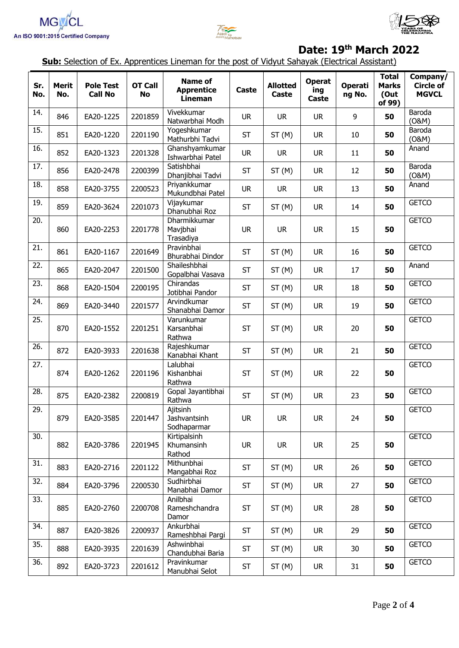





**Sub:** Selection of Ex. Apprentices Lineman for the post of Vidyut Sahayak (Electrical Assistant)

| Sr.<br>No. | <b>Merit</b><br>No. | <b>Pole Test</b><br><b>Call No</b> | <b>OT Call</b><br><b>No</b> | <b>Name of</b><br><b>Apprentice</b><br><b>Lineman</b> | Caste     | <b>Allotted</b><br>Caste | <b>Operat</b><br>ing<br>Caste | <b>Operati</b><br>ng No. | <b>Total</b><br><b>Marks</b><br>(Out<br>of 99) | Company/<br><b>Circle of</b><br><b>MGVCL</b> |
|------------|---------------------|------------------------------------|-----------------------------|-------------------------------------------------------|-----------|--------------------------|-------------------------------|--------------------------|------------------------------------------------|----------------------------------------------|
| 14.        | 846                 | EA20-1225                          | 2201859                     | Vivekkumar<br>Natwarbhai Modh                         | <b>UR</b> | <b>UR</b>                | <b>UR</b>                     | 9                        | 50                                             | Baroda<br>(0&M)                              |
| 15.        | 851                 | EA20-1220                          | 2201190                     | Yogeshkumar<br>Mathurbhi Tadvi                        | <b>ST</b> | ST(M)                    | <b>UR</b>                     | 10                       | 50                                             | Baroda<br>(0&M)                              |
| 16.        | 852                 | EA20-1323                          | 2201328                     | Ghanshyamkumar<br>Ishwarbhai Patel                    | <b>UR</b> | <b>UR</b>                | <b>UR</b>                     | 11                       | 50                                             | Anand                                        |
| 17.        | 856                 | EA20-2478                          | 2200399                     | Satishbhai<br>Dhanjibhai Tadvi                        | <b>ST</b> | ST(M)                    | <b>UR</b>                     | 12                       | 50                                             | Baroda<br>(0&M)                              |
| 18.        | 858                 | EA20-3755                          | 2200523                     | Priyankkumar<br>Mukundbhai Patel                      | <b>UR</b> | <b>UR</b>                | <b>UR</b>                     | 13                       | 50                                             | Anand                                        |
| 19.        | 859                 | EA20-3624                          | 2201073                     | Vijaykumar<br>Dhanubhai Roz                           | <b>ST</b> | ST(M)                    | <b>UR</b>                     | 14                       | 50                                             | <b>GETCO</b>                                 |
| 20.        | 860                 | EA20-2253                          | 2201778                     | Dharmikkumar<br>Mavjbhai<br>Trasadiya                 | <b>UR</b> | <b>UR</b>                | <b>UR</b>                     | 15                       | 50                                             | <b>GETCO</b>                                 |
| 21.        | 861                 | EA20-1167                          | 2201649                     | Pravinbhai<br>Bhurabhai Dindor                        | <b>ST</b> | ST(M)                    | <b>UR</b>                     | 16                       | 50                                             | <b>GETCO</b>                                 |
| 22.        | 865                 | EA20-2047                          | 2201500                     | Shaileshbhai<br>Gopalbhai Vasava                      | <b>ST</b> | ST(M)                    | <b>UR</b>                     | 17                       | 50                                             | Anand                                        |
| 23.        | 868                 | EA20-1504                          | 2200195                     | Chirandas<br>Jotibhai Pandor                          | <b>ST</b> | ST(M)                    | <b>UR</b>                     | 18                       | 50                                             | <b>GETCO</b>                                 |
| 24.        | 869                 | EA20-3440                          | 2201577                     | Arvindkumar<br>Shanabhai Damor                        | <b>ST</b> | ST(M)                    | <b>UR</b>                     | 19                       | 50                                             | <b>GETCO</b>                                 |
| 25.        | 870                 | EA20-1552                          | 2201251                     | Varunkumar<br>Karsanbhai<br>Rathwa                    | <b>ST</b> | ST(M)                    | <b>UR</b>                     | 20                       | 50                                             | <b>GETCO</b>                                 |
| 26.        | 872                 | EA20-3933                          | 2201638                     | Rajeshkumar<br>Kanabhai Khant                         | <b>ST</b> | ST(M)                    | <b>UR</b>                     | 21                       | 50                                             | <b>GETCO</b>                                 |
| 27.        | 874                 | EA20-1262                          | 2201196                     | Lalubhai<br>Kishanbhai<br>Rathwa                      | <b>ST</b> | ST(M)                    | <b>UR</b>                     | 22                       | 50                                             | <b>GETCO</b>                                 |
| 28.        | 875                 | EA20-2382                          | 2200819                     | Gopal Jayantibhai<br>Rathwa                           | <b>ST</b> | ST(M)                    | <b>UR</b>                     | 23                       | 50                                             | <b>GETCO</b>                                 |
| 29.        | 879                 | EA20-3585                          | 2201447                     | Ajitsinh<br>Jashvantsinh<br>Sodhaparmar               | <b>UR</b> | <b>UR</b>                | <b>UR</b>                     | 24                       | 50                                             | <b>GETCO</b>                                 |
| 30.        | 882                 | EA20-3786                          | 2201945                     | Kirtipalsinh<br>Khumansinh<br>Rathod                  | <b>UR</b> | <b>UR</b>                | <b>UR</b>                     | 25                       | 50                                             | <b>GETCO</b>                                 |
| 31.        | 883                 | EA20-2716                          | 2201122                     | Mithunbhai<br>Mangabhai Roz                           | <b>ST</b> | ST(M)                    | <b>UR</b>                     | 26                       | 50                                             | <b>GETCO</b>                                 |
| 32.        | 884                 | EA20-3796                          | 2200530                     | Sudhirbhai<br>Manabhai Damor                          | <b>ST</b> | ST(M)                    | <b>UR</b>                     | 27                       | 50                                             | <b>GETCO</b>                                 |
| 33.        | 885                 | EA20-2760                          | 2200708                     | Anilbhai<br>Rameshchandra<br>Damor                    | <b>ST</b> | ST(M)                    | <b>UR</b>                     | 28                       | 50                                             | <b>GETCO</b>                                 |
| 34.        | 887                 | EA20-3826                          | 2200937                     | Ankurbhai<br>Rameshbhai Pargi                         | <b>ST</b> | ST(M)                    | <b>UR</b>                     | 29                       | 50                                             | <b>GETCO</b>                                 |
| 35.        | 888                 | EA20-3935                          | 2201639                     | Ashwinbhai<br>Chandubhai Baria                        | <b>ST</b> | ST(M)                    | <b>UR</b>                     | 30                       | 50                                             | <b>GETCO</b>                                 |
| 36.        | 892                 | EA20-3723                          | 2201612                     | Pravinkumar<br>Manubhai Selot                         | <b>ST</b> | ST(M)                    | <b>UR</b>                     | 31                       | 50                                             | <b>GETCO</b>                                 |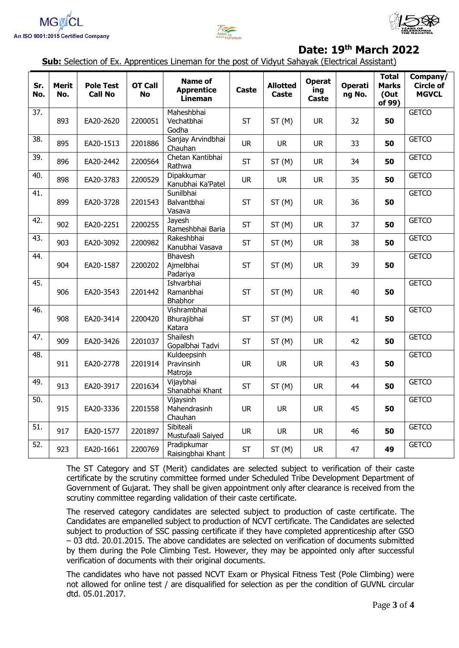





**Sub:** Selection of Ex. Apprentices Lineman for the post of Vidyut Sahayak (Electrical Assistant)

| Sr.<br>No.        | <b>Merit</b><br>No. | <b>Pole Test</b><br><b>Call No</b> | <b>OT Call</b><br><b>No</b> | <b>Name of</b><br><b>Apprentice</b><br><b>Lineman</b> | Caste     | <b>Allotted</b><br>Caste | <b>Operat</b><br>ing<br>Caste | <b>Operati</b><br>ng No. | <b>Total</b><br><b>Marks</b><br>(Out<br>of 99) | Company/<br><b>Circle of</b><br><b>MGVCL</b> |
|-------------------|---------------------|------------------------------------|-----------------------------|-------------------------------------------------------|-----------|--------------------------|-------------------------------|--------------------------|------------------------------------------------|----------------------------------------------|
| $\overline{37}$ . | 893                 | EA20-2620                          | 2200051                     | Maheshbhai<br>Vechatbhai<br>Godha                     | <b>ST</b> | ST(M)                    | <b>UR</b>                     | 32                       | 50                                             | <b>GETCO</b>                                 |
| 38.               | 895                 | EA20-1513                          | 2201886                     | Sanjay Arvindbhai<br>Chauhan                          | <b>UR</b> | <b>UR</b>                | <b>UR</b>                     | 33                       | 50                                             | <b>GETCO</b>                                 |
| 39.               | 896                 | EA20-2442                          | 2200564                     | Chetan Kantibhai<br>Rathwa                            | <b>ST</b> | ST(M)                    | <b>UR</b>                     | 34                       | 50                                             | <b>GETCO</b>                                 |
| 40.               | 898                 | EA20-3783                          | 2200529                     | Dipakkumar<br>Kanubhai Ka'Patel                       | <b>UR</b> | <b>UR</b>                | <b>UR</b>                     | 35                       | 50                                             | <b>GETCO</b>                                 |
| 41.               | 899                 | EA20-3728                          | 2201543                     | Sunilbhai<br>Balvantbhai<br>Vasava                    | <b>ST</b> | ST(M)                    | <b>UR</b>                     | 36                       | 50                                             | <b>GETCO</b>                                 |
| 42.               | 902                 | EA20-2251                          | 2200255                     | Jayesh<br>Rameshbhai Baria                            | <b>ST</b> | ST(M)                    | <b>UR</b>                     | 37                       | 50                                             | <b>GETCO</b>                                 |
| 43.               | 903                 | EA20-3092                          | 2200982                     | Rakeshbhai<br>Kanubhai Vasava                         | <b>ST</b> | ST(M)                    | <b>UR</b>                     | 38                       | 50                                             | <b>GETCO</b>                                 |
| 44.               | 904                 | EA20-1587                          | 2200202                     | Bhavesh<br>Ajmelbhai<br>Padariya                      | <b>ST</b> | ST(M)                    | <b>UR</b>                     | 39                       | 50                                             | <b>GETCO</b>                                 |
| 45.               | 906                 | EA20-3543                          | 2201442                     | Ishvarbhai<br>Ramanbhai<br>Bhabhor                    | <b>ST</b> | ST(M)                    | <b>UR</b>                     | 40                       | 50                                             | <b>GETCO</b>                                 |
| 46.               | 908                 | EA20-3414                          | 2200420                     | Vishrambhai<br>Bhurajibhai<br>Katara                  | <b>ST</b> | ST(M)                    | <b>UR</b>                     | 41                       | 50                                             | <b>GETCO</b>                                 |
| 47.               | 909                 | EA20-3426                          | 2201037                     | Shailesh<br>Gopalbhai Tadvi                           | <b>ST</b> | ST(M)                    | <b>UR</b>                     | 42                       | 50                                             | <b>GETCO</b>                                 |
| 48.               | 911                 | EA20-2778                          | 2201914                     | Kuldeepsinh<br>Pravinsinh<br>Matroja                  | <b>UR</b> | <b>UR</b>                | <b>UR</b>                     | 43                       | 50                                             | <b>GETCO</b>                                 |
| 49.               | 913                 | EA20-3917                          | 2201634                     | Vijaybhai<br>Shanabhai Khant                          | <b>ST</b> | ST(M)                    | <b>UR</b>                     | 44                       | 50                                             | <b>GETCO</b>                                 |
| 50.               | 915                 | EA20-3336                          | 2201558                     | Vijaysinh<br>Mahendrasinh<br>Chauhan                  | <b>UR</b> | <b>UR</b>                | <b>UR</b>                     | 45                       | 50                                             | <b>GETCO</b>                                 |
| 51.               | 917                 | EA20-1577                          | 2201897                     | Sibiteali<br>Mustufaali Saiyed                        | <b>UR</b> | <b>UR</b>                | <b>UR</b>                     | 46                       | 50                                             | <b>GETCO</b>                                 |
| 52.               | 923                 | EA20-1661                          | 2200769                     | Pradipkumar<br>Raisingbhai Khant                      | <b>ST</b> | ST(M)                    | <b>UR</b>                     | 47                       | 49                                             | <b>GETCO</b>                                 |

The ST Category and ST (Merit) candidates are selected subject to verification of their caste certificate by the scrutiny committee formed under Scheduled Tribe Development Department of Government of Gujarat. They shall be given appointment only after clearance is received from the scrutiny committee regarding validation of their caste certificate.

The reserved category candidates are selected subject to production of caste certificate. The Candidates are empanelled subject to production of NCVT certificate. The Candidates are selected subject to production of SSC passing certificate if they have completed apprenticeship after GSO – 03 dtd. 20.01.2015. The above candidates are selected on verification of documents submitted by them during the Pole Climbing Test. However, they may be appointed only after successful verification of documents with their original documents.

The candidates who have not passed NCVT Exam or Physical Fitness Test (Pole Climbing) were not allowed for online test / are disqualified for selection as per the condition of GUVNL circular dtd. 05.01.2017.